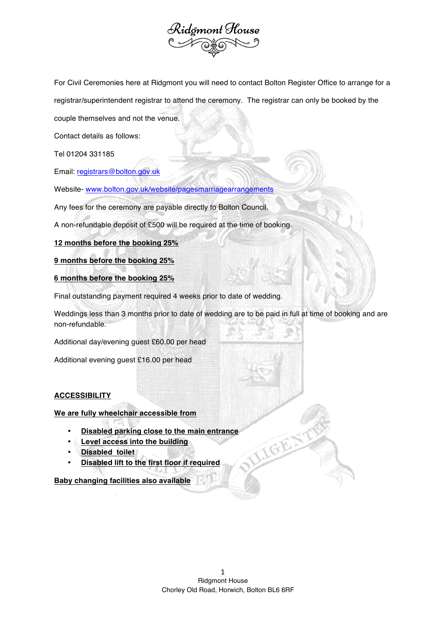

For Civil Ceremonies here at Ridgmont you will need to contact Bolton Register Office to arrange for a registrar/superintendent registrar to attend the ceremony. The registrar can only be booked by the

couple themselves and not the venue.

Contact details as follows:

Tel 01204 331185

Email: registrars@bolton.gov.uk

Website- www.bolton.gov.uk/website/pagesmarriagearrangements

Any fees for the ceremony are payable directly to Bolton Council.

A non-refundable deposit of £500 will be required at the time of booking.

**12 months before the booking 25%**

**9 months before the booking 25%**

**6 months before the booking 25%**

Final outstanding payment required 4 weeks prior to date of wedding.

Weddings less than 3 months prior to date of wedding are to be paid in full at time of booking and are non-refundable.

Additional day/evening guest £60.00 per head

Additional evening guest £16.00 per head

## **ACCESSIBILITY**

**We are fully wheelchair accessible from**

- **Disabled parking close to the main entrance**
- **Level access into the building**
- **Disabled toilet**
- **Disabled lift to the first floor if required**

## **Baby changing facilities also available**